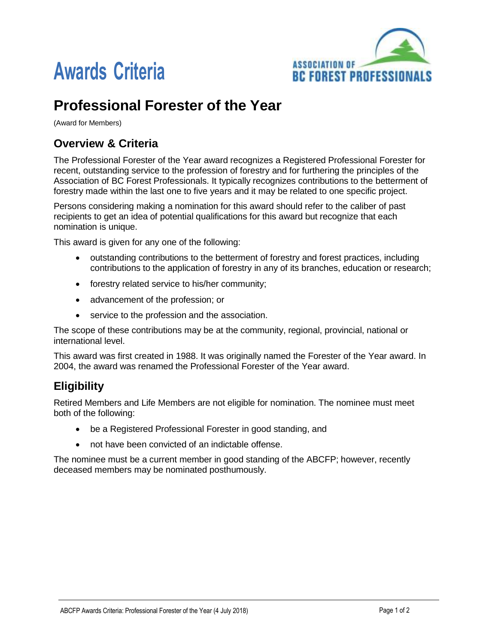



# **Professional Forester of the Year**

(Award for Members)

## **Overview & Criteria**

The Professional Forester of the Year award recognizes a Registered Professional Forester for recent, outstanding service to the profession of forestry and for furthering the principles of the Association of BC Forest Professionals. It typically recognizes contributions to the betterment of forestry made within the last one to five years and it may be related to one specific project.

Persons considering making a nomination for this award should refer to the caliber of past recipients to get an idea of potential qualifications for this award but recognize that each nomination is unique.

This award is given for any one of the following:

- outstanding contributions to the betterment of forestry and forest practices, including contributions to the application of forestry in any of its branches, education or research;
- forestry related service to his/her community;
- advancement of the profession; or
- service to the profession and the association.

The scope of these contributions may be at the community, regional, provincial, national or international level.

This award was first created in 1988. It was originally named the Forester of the Year award. In 2004, the award was renamed the Professional Forester of the Year award.

## **Eligibility**

Retired Members and Life Members are not eligible for nomination. The nominee must meet both of the following:

- be a Registered Professional Forester in good standing, and
- not have been convicted of an indictable offense.

The nominee must be a current member in good standing of the ABCFP; however, recently deceased members may be nominated posthumously.